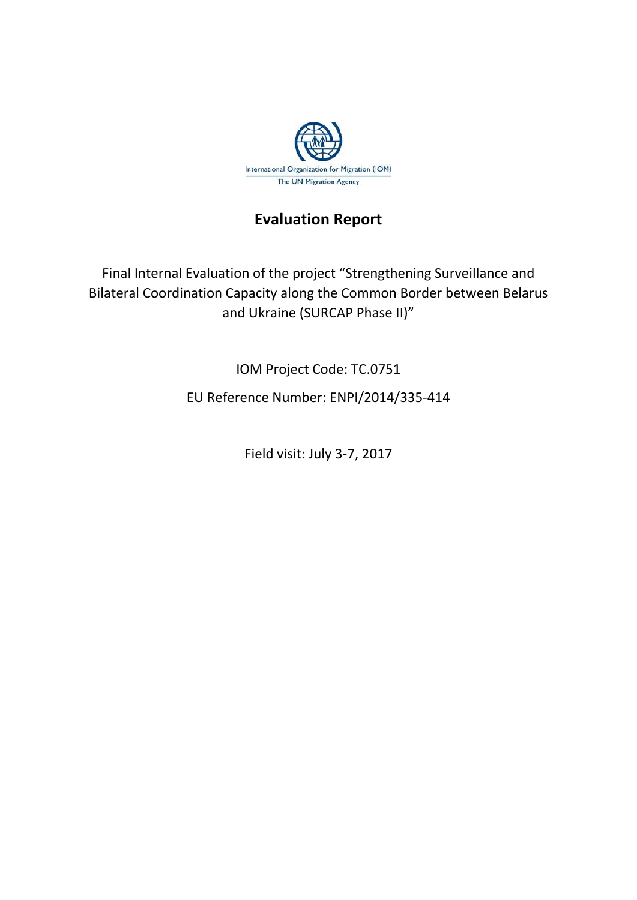

## **Evaluation Report**

Final Internal Evaluation of the project "Strengthening Surveillance and Bilateral Coordination Capacity along the Common Border between Belarus and Ukraine (SURCAP Phase II)"

IOM Project Code: TC.0751

EU Reference Number: ENPI/2014/335-414

Field visit: July 3-7, 2017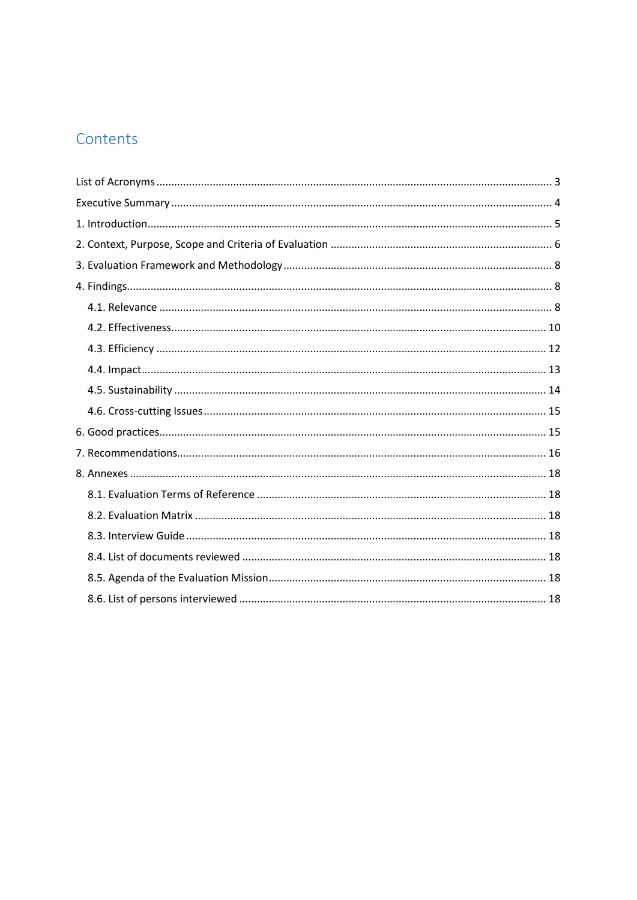# Contents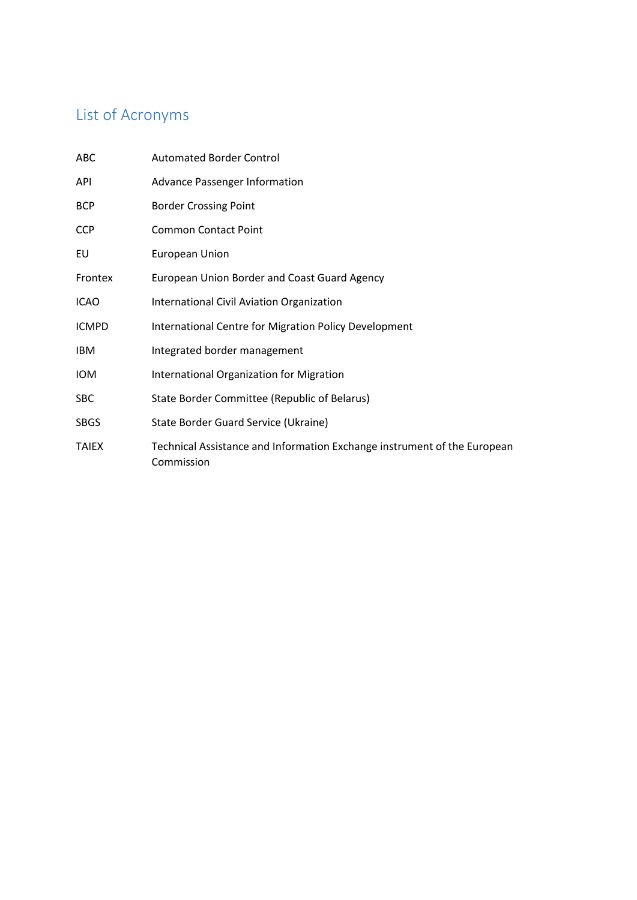# <span id="page-2-0"></span>List of Acronyms

| ABC          | <b>Automated Border Control</b>                                                        |
|--------------|----------------------------------------------------------------------------------------|
| API          | <b>Advance Passenger Information</b>                                                   |
| <b>BCP</b>   | <b>Border Crossing Point</b>                                                           |
| <b>CCP</b>   | <b>Common Contact Point</b>                                                            |
| EU           | European Union                                                                         |
| Frontex      | European Union Border and Coast Guard Agency                                           |
| <b>ICAO</b>  | International Civil Aviation Organization                                              |
| <b>ICMPD</b> | International Centre for Migration Policy Development                                  |
| IBM.         | Integrated border management                                                           |
| <b>IOM</b>   | International Organization for Migration                                               |
| <b>SBC</b>   | State Border Committee (Republic of Belarus)                                           |
| <b>SBGS</b>  | State Border Guard Service (Ukraine)                                                   |
| <b>TAIEX</b> | Technical Assistance and Information Exchange instrument of the European<br>Commission |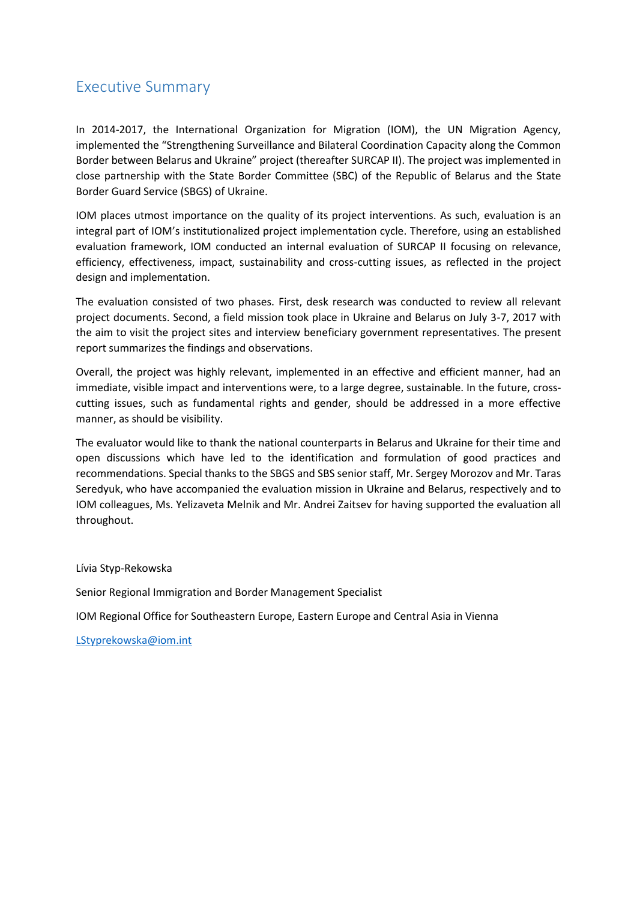### <span id="page-3-0"></span>Executive Summary

In 2014-2017, the International Organization for Migration (IOM), the UN Migration Agency, implemented the "Strengthening Surveillance and Bilateral Coordination Capacity along the Common Border between Belarus and Ukraine" project (thereafter SURCAP II). The project was implemented in close partnership with the State Border Committee (SBC) of the Republic of Belarus and the State Border Guard Service (SBGS) of Ukraine.

IOM places utmost importance on the quality of its project interventions. As such, evaluation is an integral part of IOM's institutionalized project implementation cycle. Therefore, using an established evaluation framework, IOM conducted an internal evaluation of SURCAP II focusing on relevance, efficiency, effectiveness, impact, sustainability and cross-cutting issues, as reflected in the project design and implementation.

The evaluation consisted of two phases. First, desk research was conducted to review all relevant project documents. Second, a field mission took place in Ukraine and Belarus on July 3-7, 2017 with the aim to visit the project sites and interview beneficiary government representatives. The present report summarizes the findings and observations.

Overall, the project was highly relevant, implemented in an effective and efficient manner, had an immediate, visible impact and interventions were, to a large degree, sustainable. In the future, crosscutting issues, such as fundamental rights and gender, should be addressed in a more effective manner, as should be visibility.

The evaluator would like to thank the national counterparts in Belarus and Ukraine for their time and open discussions which have led to the identification and formulation of good practices and recommendations. Special thanks to the SBGS and SBS senior staff, Mr. Sergey Morozov and Mr. Taras Seredyuk, who have accompanied the evaluation mission in Ukraine and Belarus, respectively and to IOM colleagues, Ms. Yelizaveta Melnik and Mr. Andrei Zaitsev for having supported the evaluation all throughout.

Lívia Styp-Rekowska

Senior Regional Immigration and Border Management Specialist

IOM Regional Office for Southeastern Europe, Eastern Europe and Central Asia in Vienna

[LStyprekowska@iom.int](mailto:LStyprekowska@iom.int)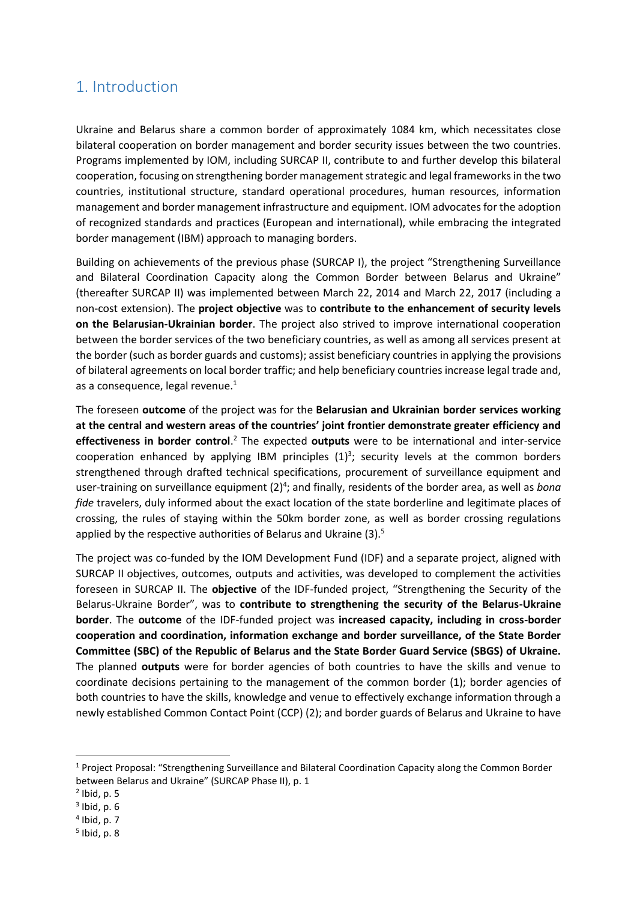### <span id="page-4-0"></span>1. Introduction

Ukraine and Belarus share a common border of approximately 1084 km, which necessitates close bilateral cooperation on border management and border security issues between the two countries. Programs implemented by IOM, including SURCAP II, contribute to and further develop this bilateral cooperation, focusing on strengthening border management strategic and legal frameworks in the two countries, institutional structure, standard operational procedures, human resources, information management and border management infrastructure and equipment. IOM advocates for the adoption of recognized standards and practices (European and international), while embracing the integrated border management (IBM) approach to managing borders.

Building on achievements of the previous phase (SURCAP I), the project "Strengthening Surveillance and Bilateral Coordination Capacity along the Common Border between Belarus and Ukraine" (thereafter SURCAP II) was implemented between March 22, 2014 and March 22, 2017 (including a non-cost extension). The **project objective** was to **contribute to the enhancement of security levels on the Belarusian-Ukrainian border**. The project also strived to improve international cooperation between the border services of the two beneficiary countries, as well as among all services present at the border (such as border guards and customs); assist beneficiary countries in applying the provisions of bilateral agreements on local border traffic; and help beneficiary countries increase legal trade and, as a consequence, legal revenue. $1$ 

The foreseen **outcome** of the project was for the **Belarusian and Ukrainian border services working at the central and western areas of the countries' joint frontier demonstrate greater efficiency and effectiveness in border control**. <sup>2</sup> The expected **outputs** were to be international and inter-service cooperation enhanced by applying IBM principles  $(1)^3$ ; security levels at the common borders strengthened through drafted technical specifications, procurement of surveillance equipment and user-training on surveillance equipment (2)<sup>4</sup>; and finally, residents of the border area, as well as *bona fide* travelers, duly informed about the exact location of the state borderline and legitimate places of crossing, the rules of staying within the 50km border zone, as well as border crossing regulations applied by the respective authorities of Belarus and Ukraine (3).<sup>5</sup>

The project was co-funded by the IOM Development Fund (IDF) and a separate project, aligned with SURCAP II objectives, outcomes, outputs and activities, was developed to complement the activities foreseen in SURCAP II. The **objective** of the IDF-funded project, "Strengthening the Security of the Belarus-Ukraine Border", was to **contribute to strengthening the security of the Belarus-Ukraine border**. The **outcome** of the IDF-funded project was **increased capacity, including in cross-border cooperation and coordination, information exchange and border surveillance, of the State Border Committee (SBC) of the Republic of Belarus and the State Border Guard Service (SBGS) of Ukraine.** The planned **outputs** were for border agencies of both countries to have the skills and venue to coordinate decisions pertaining to the management of the common border (1); border agencies of both countries to have the skills, knowledge and venue to effectively exchange information through a newly established Common Contact Point (CCP) (2); and border guards of Belarus and Ukraine to have

 $\overline{\phantom{a}}$ 

<sup>1</sup> Project Proposal: "Strengthening Surveillance and Bilateral Coordination Capacity along the Common Border between Belarus and Ukraine" (SURCAP Phase II), p. 1

 $<sup>2</sup>$  Ibid, p. 5</sup>

 $3$  Ibid, p. 6

<sup>4</sup> Ibid, p. 7

<sup>5</sup> Ibid, p. 8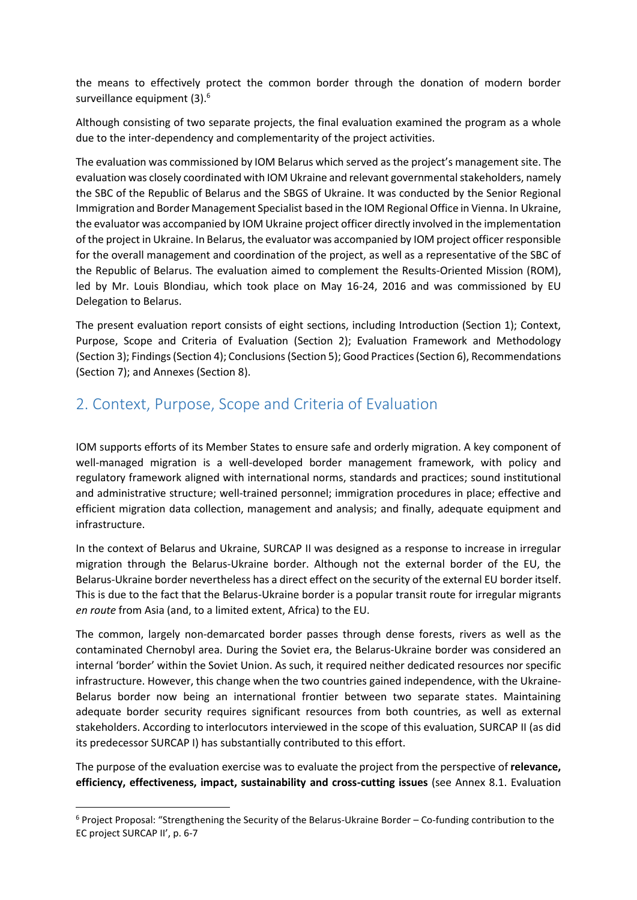the means to effectively protect the common border through the donation of modern border surveillance equipment (3).<sup>6</sup>

Although consisting of two separate projects, the final evaluation examined the program as a whole due to the inter-dependency and complementarity of the project activities.

The evaluation was commissioned by IOM Belarus which served asthe project's management site. The evaluation was closely coordinated with IOM Ukraine and relevant governmental stakeholders, namely the SBC of the Republic of Belarus and the SBGS of Ukraine. It was conducted by the Senior Regional Immigration and Border Management Specialist based in the IOM Regional Office in Vienna. In Ukraine, the evaluator was accompanied by IOM Ukraine project officer directly involved in the implementation of the project in Ukraine. In Belarus, the evaluator was accompanied by IOM project officer responsible for the overall management and coordination of the project, as well as a representative of the SBC of the Republic of Belarus. The evaluation aimed to complement the Results-Oriented Mission (ROM), led by Mr. Louis Blondiau, which took place on May 16-24, 2016 and was commissioned by EU Delegation to Belarus.

The present evaluation report consists of eight sections, including Introduction (Section 1); Context, Purpose, Scope and Criteria of Evaluation (Section 2); Evaluation Framework and Methodology (Section 3); Findings (Section 4); Conclusions (Section 5); Good Practices (Section 6), Recommendations (Section 7); and Annexes (Section 8).

### <span id="page-5-0"></span>2. Context, Purpose, Scope and Criteria of Evaluation

IOM supports efforts of its Member States to ensure safe and orderly migration. A key component of well-managed migration is a well-developed border management framework, with policy and regulatory framework aligned with international norms, standards and practices; sound institutional and administrative structure; well-trained personnel; immigration procedures in place; effective and efficient migration data collection, management and analysis; and finally, adequate equipment and infrastructure.

In the context of Belarus and Ukraine, SURCAP II was designed as a response to increase in irregular migration through the Belarus-Ukraine border. Although not the external border of the EU, the Belarus-Ukraine border nevertheless has a direct effect on the security of the external EU border itself. This is due to the fact that the Belarus-Ukraine border is a popular transit route for irregular migrants *en route* from Asia (and, to a limited extent, Africa) to the EU.

The common, largely non-demarcated border passes through dense forests, rivers as well as the contaminated Chernobyl area. During the Soviet era, the Belarus-Ukraine border was considered an internal 'border' within the Soviet Union. As such, it required neither dedicated resources nor specific infrastructure. However, this change when the two countries gained independence, with the Ukraine-Belarus border now being an international frontier between two separate states. Maintaining adequate border security requires significant resources from both countries, as well as external stakeholders. According to interlocutors interviewed in the scope of this evaluation, SURCAP II (as did its predecessor SURCAP I) has substantially contributed to this effort.

The purpose of the evaluation exercise was to evaluate the project from the perspective of **relevance, efficiency, effectiveness, impact, sustainability and cross-cutting issues** (see Annex 8.1. Evaluation

 $\overline{\phantom{a}}$ 

<sup>6</sup> Project Proposal: "Strengthening the Security of the Belarus-Ukraine Border – Co-funding contribution to the EC project SURCAP II', p. 6-7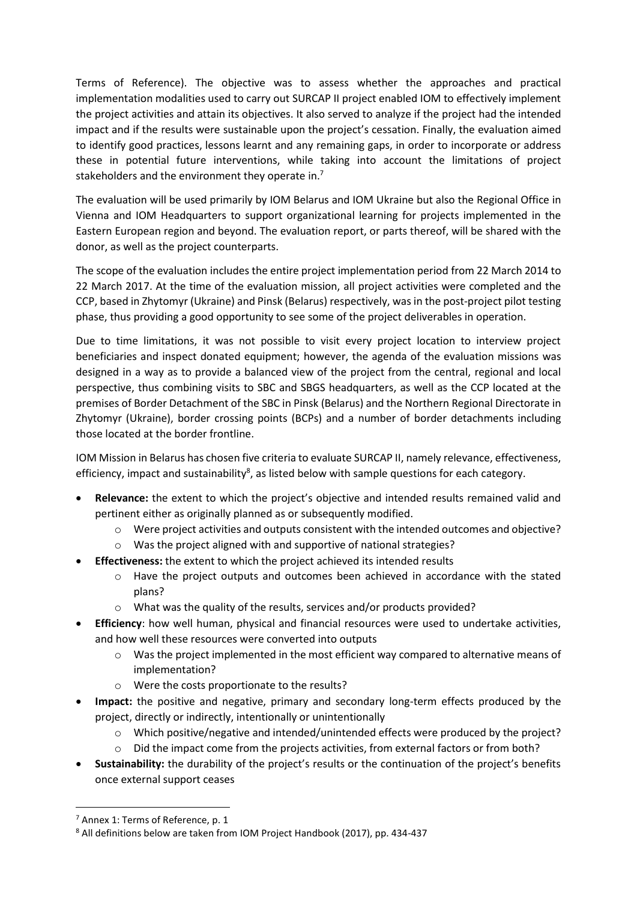Terms of Reference). The objective was to assess whether the approaches and practical implementation modalities used to carry out SURCAP II project enabled IOM to effectively implement the project activities and attain its objectives. It also served to analyze if the project had the intended impact and if the results were sustainable upon the project's cessation. Finally, the evaluation aimed to identify good practices, lessons learnt and any remaining gaps, in order to incorporate or address these in potential future interventions, while taking into account the limitations of project stakeholders and the environment they operate in.<sup>7</sup>

The evaluation will be used primarily by IOM Belarus and IOM Ukraine but also the Regional Office in Vienna and IOM Headquarters to support organizational learning for projects implemented in the Eastern European region and beyond. The evaluation report, or parts thereof, will be shared with the donor, as well as the project counterparts.

The scope of the evaluation includes the entire project implementation period from 22 March 2014 to 22 March 2017. At the time of the evaluation mission, all project activities were completed and the CCP, based in Zhytomyr (Ukraine) and Pinsk (Belarus) respectively, was in the post-project pilot testing phase, thus providing a good opportunity to see some of the project deliverables in operation.

Due to time limitations, it was not possible to visit every project location to interview project beneficiaries and inspect donated equipment; however, the agenda of the evaluation missions was designed in a way as to provide a balanced view of the project from the central, regional and local perspective, thus combining visits to SBC and SBGS headquarters, as well as the CCP located at the premises of Border Detachment of the SBC in Pinsk (Belarus) and the Northern Regional Directorate in Zhytomyr (Ukraine), border crossing points (BCPs) and a number of border detachments including those located at the border frontline.

IOM Mission in Belarus has chosen five criteria to evaluate SURCAP II, namely relevance, effectiveness, efficiency, impact and sustainability<sup>8</sup>, as listed below with sample questions for each category.

- **Relevance:** the extent to which the project's objective and intended results remained valid and pertinent either as originally planned as or subsequently modified.
	- o Were project activities and outputs consistent with the intended outcomes and objective?
	- o Was the project aligned with and supportive of national strategies?
- **Effectiveness:** the extent to which the project achieved its intended results
	- o Have the project outputs and outcomes been achieved in accordance with the stated plans?
	- o What was the quality of the results, services and/or products provided?
- **Efficiency**: how well human, physical and financial resources were used to undertake activities, and how well these resources were converted into outputs
	- $\circ$  Was the project implemented in the most efficient way compared to alternative means of implementation?
	- o Were the costs proportionate to the results?
- **Impact:** the positive and negative, primary and secondary long-term effects produced by the project, directly or indirectly, intentionally or unintentionally
	- o Which positive/negative and intended/unintended effects were produced by the project?
	- $\circ$  Did the impact come from the projects activities, from external factors or from both?
- **Sustainability:** the durability of the project's results or the continuation of the project's benefits once external support ceases

 $\overline{\phantom{a}}$ 

<sup>7</sup> Annex 1: Terms of Reference, p. 1

<sup>8</sup> All definitions below are taken from IOM Project Handbook (2017), pp. 434-437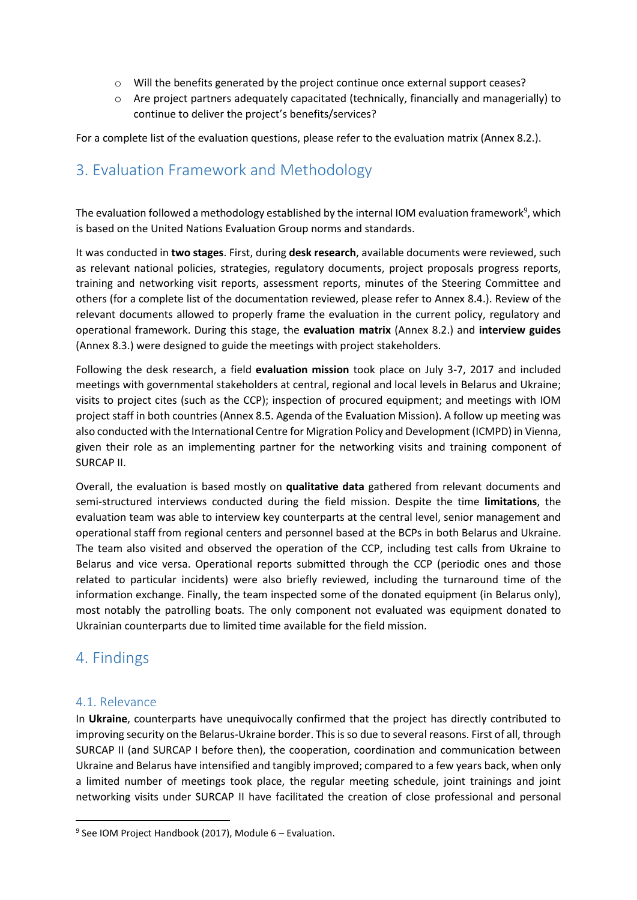- o Will the benefits generated by the project continue once external support ceases?
- o Are project partners adequately capacitated (technically, financially and managerially) to continue to deliver the project's benefits/services?

For a complete list of the evaluation questions, please refer to the evaluation matrix (Annex 8.2.).

### <span id="page-7-0"></span>3. Evaluation Framework and Methodology

The evaluation followed a methodology established by the internal IOM evaluation framework<sup>9</sup>, which is based on the United Nations Evaluation Group norms and standards.

It was conducted in **two stages**. First, during **desk research**, available documents were reviewed, such as relevant national policies, strategies, regulatory documents, project proposals progress reports, training and networking visit reports, assessment reports, minutes of the Steering Committee and others (for a complete list of the documentation reviewed, please refer to Annex 8.4.). Review of the relevant documents allowed to properly frame the evaluation in the current policy, regulatory and operational framework. During this stage, the **evaluation matrix** (Annex 8.2.) and **interview guides**  (Annex 8.3.) were designed to guide the meetings with project stakeholders.

Following the desk research, a field **evaluation mission** took place on July 3-7, 2017 and included meetings with governmental stakeholders at central, regional and local levels in Belarus and Ukraine; visits to project cites (such as the CCP); inspection of procured equipment; and meetings with IOM project staff in both countries (Annex 8.5. Agenda of the Evaluation Mission). A follow up meeting was also conducted with the International Centre for Migration Policy and Development (ICMPD) in Vienna, given their role as an implementing partner for the networking visits and training component of SURCAP II.

Overall, the evaluation is based mostly on **qualitative data** gathered from relevant documents and semi-structured interviews conducted during the field mission. Despite the time **limitations**, the evaluation team was able to interview key counterparts at the central level, senior management and operational staff from regional centers and personnel based at the BCPs in both Belarus and Ukraine. The team also visited and observed the operation of the CCP, including test calls from Ukraine to Belarus and vice versa. Operational reports submitted through the CCP (periodic ones and those related to particular incidents) were also briefly reviewed, including the turnaround time of the information exchange. Finally, the team inspected some of the donated equipment (in Belarus only), most notably the patrolling boats. The only component not evaluated was equipment donated to Ukrainian counterparts due to limited time available for the field mission.

### <span id="page-7-1"></span>4. Findings

#### <span id="page-7-2"></span>4.1. Relevance

 $\overline{\phantom{a}}$ 

In **Ukraine**, counterparts have unequivocally confirmed that the project has directly contributed to improving security on the Belarus-Ukraine border. This is so due to several reasons. First of all, through SURCAP II (and SURCAP I before then), the cooperation, coordination and communication between Ukraine and Belarus have intensified and tangibly improved; compared to a few years back, when only a limited number of meetings took place, the regular meeting schedule, joint trainings and joint networking visits under SURCAP II have facilitated the creation of close professional and personal

<sup>&</sup>lt;sup>9</sup> See IOM Project Handbook (2017), Module 6 - Evaluation.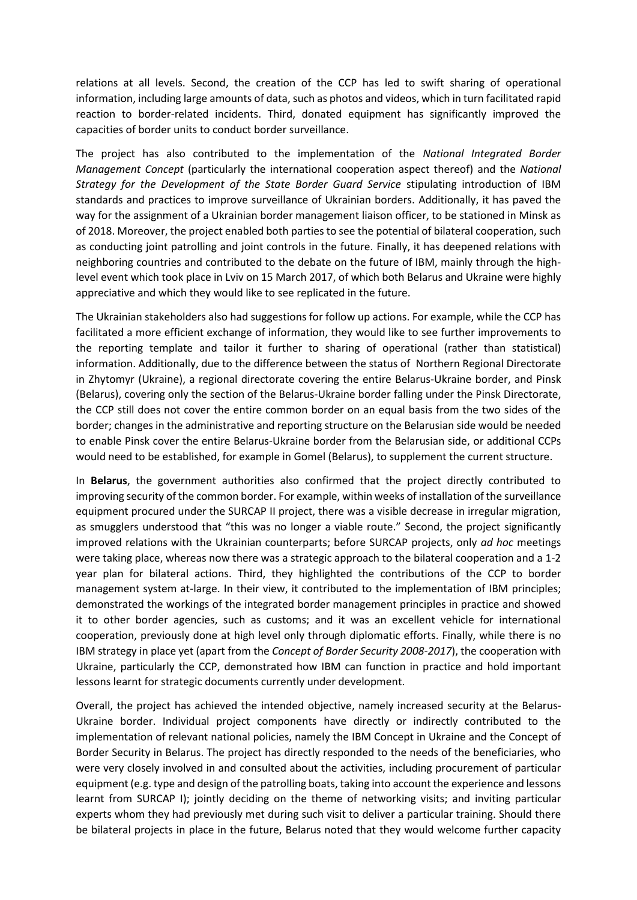relations at all levels. Second, the creation of the CCP has led to swift sharing of operational information, including large amounts of data, such as photos and videos, which in turn facilitated rapid reaction to border-related incidents. Third, donated equipment has significantly improved the capacities of border units to conduct border surveillance.

The project has also contributed to the implementation of the *National Integrated Border Management Concept* (particularly the international cooperation aspect thereof) and the *National Strategy for the Development of the State Border Guard Service* stipulating introduction of IBM standards and practices to improve surveillance of Ukrainian borders. Additionally, it has paved the way for the assignment of a Ukrainian border management liaison officer, to be stationed in Minsk as of 2018. Moreover, the project enabled both parties to see the potential of bilateral cooperation, such as conducting joint patrolling and joint controls in the future. Finally, it has deepened relations with neighboring countries and contributed to the debate on the future of IBM, mainly through the highlevel event which took place in Lviv on 15 March 2017, of which both Belarus and Ukraine were highly appreciative and which they would like to see replicated in the future.

The Ukrainian stakeholders also had suggestions for follow up actions. For example, while the CCP has facilitated a more efficient exchange of information, they would like to see further improvements to the reporting template and tailor it further to sharing of operational (rather than statistical) information. Additionally, due to the difference between the status of Northern Regional Directorate in Zhytomyr (Ukraine), a regional directorate covering the entire Belarus-Ukraine border, and Pinsk (Belarus), covering only the section of the Belarus-Ukraine border falling under the Pinsk Directorate, the CCP still does not cover the entire common border on an equal basis from the two sides of the border; changes in the administrative and reporting structure on the Belarusian side would be needed to enable Pinsk cover the entire Belarus-Ukraine border from the Belarusian side, or additional CCPs would need to be established, for example in Gomel (Belarus), to supplement the current structure.

In **Belarus**, the government authorities also confirmed that the project directly contributed to improving security of the common border. For example, within weeks of installation of the surveillance equipment procured under the SURCAP II project, there was a visible decrease in irregular migration, as smugglers understood that "this was no longer a viable route." Second, the project significantly improved relations with the Ukrainian counterparts; before SURCAP projects, only *ad hoc* meetings were taking place, whereas now there was a strategic approach to the bilateral cooperation and a 1-2 year plan for bilateral actions. Third, they highlighted the contributions of the CCP to border management system at-large. In their view, it contributed to the implementation of IBM principles; demonstrated the workings of the integrated border management principles in practice and showed it to other border agencies, such as customs; and it was an excellent vehicle for international cooperation, previously done at high level only through diplomatic efforts. Finally, while there is no IBM strategy in place yet (apart from the *Concept of Border Security 2008-2017*), the cooperation with Ukraine, particularly the CCP, demonstrated how IBM can function in practice and hold important lessons learnt for strategic documents currently under development.

Overall, the project has achieved the intended objective, namely increased security at the Belarus-Ukraine border. Individual project components have directly or indirectly contributed to the implementation of relevant national policies, namely the IBM Concept in Ukraine and the Concept of Border Security in Belarus. The project has directly responded to the needs of the beneficiaries, who were very closely involved in and consulted about the activities, including procurement of particular equipment (e.g. type and design of the patrolling boats, taking into account the experience and lessons learnt from SURCAP I); jointly deciding on the theme of networking visits; and inviting particular experts whom they had previously met during such visit to deliver a particular training. Should there be bilateral projects in place in the future, Belarus noted that they would welcome further capacity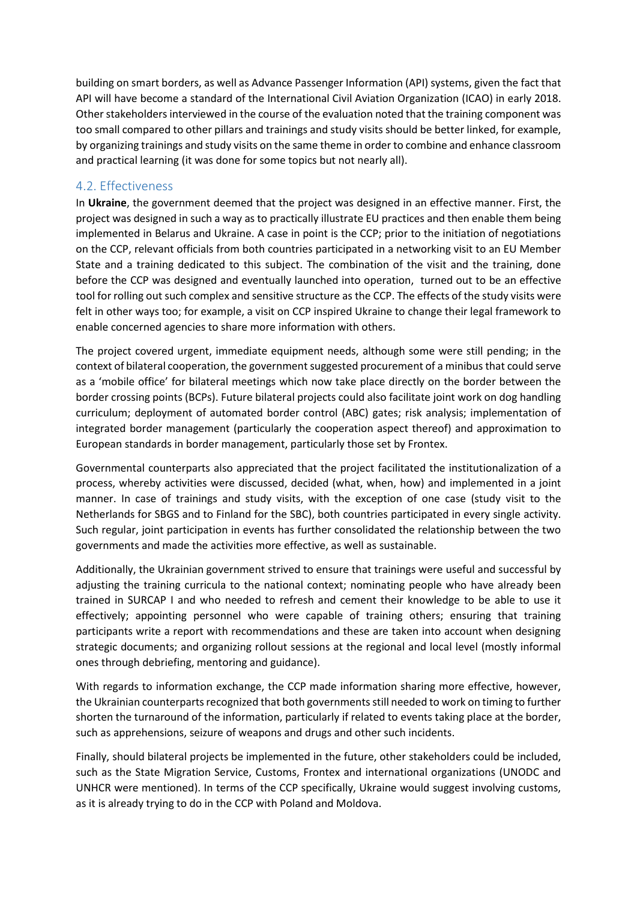building on smart borders, as well as Advance Passenger Information (API) systems, given the fact that API will have become a standard of the International Civil Aviation Organization (ICAO) in early 2018. Other stakeholders interviewed in the course of the evaluation noted that the training component was too small compared to other pillars and trainings and study visits should be better linked, for example, by organizing trainings and study visits on the same theme in order to combine and enhance classroom and practical learning (it was done for some topics but not nearly all).

#### <span id="page-9-0"></span>4.2. Effectiveness

In **Ukraine**, the government deemed that the project was designed in an effective manner. First, the project was designed in such a way as to practically illustrate EU practices and then enable them being implemented in Belarus and Ukraine. A case in point is the CCP; prior to the initiation of negotiations on the CCP, relevant officials from both countries participated in a networking visit to an EU Member State and a training dedicated to this subject. The combination of the visit and the training, done before the CCP was designed and eventually launched into operation, turned out to be an effective tool for rolling out such complex and sensitive structure as the CCP. The effects of the study visits were felt in other ways too; for example, a visit on CCP inspired Ukraine to change their legal framework to enable concerned agencies to share more information with others.

The project covered urgent, immediate equipment needs, although some were still pending; in the context of bilateral cooperation, the government suggested procurement of a minibus that could serve as a 'mobile office' for bilateral meetings which now take place directly on the border between the border crossing points (BCPs). Future bilateral projects could also facilitate joint work on dog handling curriculum; deployment of automated border control (ABC) gates; risk analysis; implementation of integrated border management (particularly the cooperation aspect thereof) and approximation to European standards in border management, particularly those set by Frontex.

Governmental counterparts also appreciated that the project facilitated the institutionalization of a process, whereby activities were discussed, decided (what, when, how) and implemented in a joint manner. In case of trainings and study visits, with the exception of one case (study visit to the Netherlands for SBGS and to Finland for the SBC), both countries participated in every single activity. Such regular, joint participation in events has further consolidated the relationship between the two governments and made the activities more effective, as well as sustainable.

Additionally, the Ukrainian government strived to ensure that trainings were useful and successful by adjusting the training curricula to the national context; nominating people who have already been trained in SURCAP I and who needed to refresh and cement their knowledge to be able to use it effectively; appointing personnel who were capable of training others; ensuring that training participants write a report with recommendations and these are taken into account when designing strategic documents; and organizing rollout sessions at the regional and local level (mostly informal ones through debriefing, mentoring and guidance).

With regards to information exchange, the CCP made information sharing more effective, however, the Ukrainian counterparts recognized that both governments still needed to work on timing to further shorten the turnaround of the information, particularly if related to events taking place at the border, such as apprehensions, seizure of weapons and drugs and other such incidents.

Finally, should bilateral projects be implemented in the future, other stakeholders could be included, such as the State Migration Service, Customs, Frontex and international organizations (UNODC and UNHCR were mentioned). In terms of the CCP specifically, Ukraine would suggest involving customs, as it is already trying to do in the CCP with Poland and Moldova.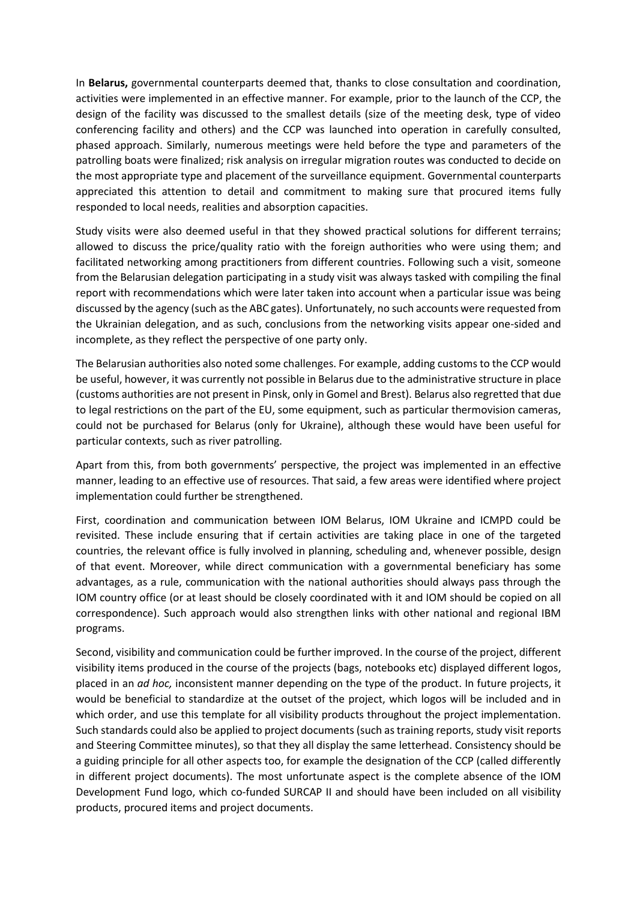In **Belarus,** governmental counterparts deemed that, thanks to close consultation and coordination, activities were implemented in an effective manner. For example, prior to the launch of the CCP, the design of the facility was discussed to the smallest details (size of the meeting desk, type of video conferencing facility and others) and the CCP was launched into operation in carefully consulted, phased approach. Similarly, numerous meetings were held before the type and parameters of the patrolling boats were finalized; risk analysis on irregular migration routes was conducted to decide on the most appropriate type and placement of the surveillance equipment. Governmental counterparts appreciated this attention to detail and commitment to making sure that procured items fully responded to local needs, realities and absorption capacities.

Study visits were also deemed useful in that they showed practical solutions for different terrains; allowed to discuss the price/quality ratio with the foreign authorities who were using them; and facilitated networking among practitioners from different countries. Following such a visit, someone from the Belarusian delegation participating in a study visit was always tasked with compiling the final report with recommendations which were later taken into account when a particular issue was being discussed by the agency (such as the ABC gates). Unfortunately, no such accounts were requested from the Ukrainian delegation, and as such, conclusions from the networking visits appear one-sided and incomplete, as they reflect the perspective of one party only.

The Belarusian authorities also noted some challenges. For example, adding customs to the CCP would be useful, however, it was currently not possible in Belarus due to the administrative structure in place (customs authorities are not present in Pinsk, only in Gomel and Brest). Belarus also regretted that due to legal restrictions on the part of the EU, some equipment, such as particular thermovision cameras, could not be purchased for Belarus (only for Ukraine), although these would have been useful for particular contexts, such as river patrolling.

Apart from this, from both governments' perspective, the project was implemented in an effective manner, leading to an effective use of resources. That said, a few areas were identified where project implementation could further be strengthened.

First, coordination and communication between IOM Belarus, IOM Ukraine and ICMPD could be revisited. These include ensuring that if certain activities are taking place in one of the targeted countries, the relevant office is fully involved in planning, scheduling and, whenever possible, design of that event. Moreover, while direct communication with a governmental beneficiary has some advantages, as a rule, communication with the national authorities should always pass through the IOM country office (or at least should be closely coordinated with it and IOM should be copied on all correspondence). Such approach would also strengthen links with other national and regional IBM programs.

Second, visibility and communication could be further improved. In the course of the project, different visibility items produced in the course of the projects (bags, notebooks etc) displayed different logos, placed in an *ad hoc,* inconsistent manner depending on the type of the product. In future projects, it would be beneficial to standardize at the outset of the project, which logos will be included and in which order, and use this template for all visibility products throughout the project implementation. Such standards could also be applied to project documents (such as training reports, study visit reports and Steering Committee minutes), so that they all display the same letterhead. Consistency should be a guiding principle for all other aspects too, for example the designation of the CCP (called differently in different project documents). The most unfortunate aspect is the complete absence of the IOM Development Fund logo, which co-funded SURCAP II and should have been included on all visibility products, procured items and project documents.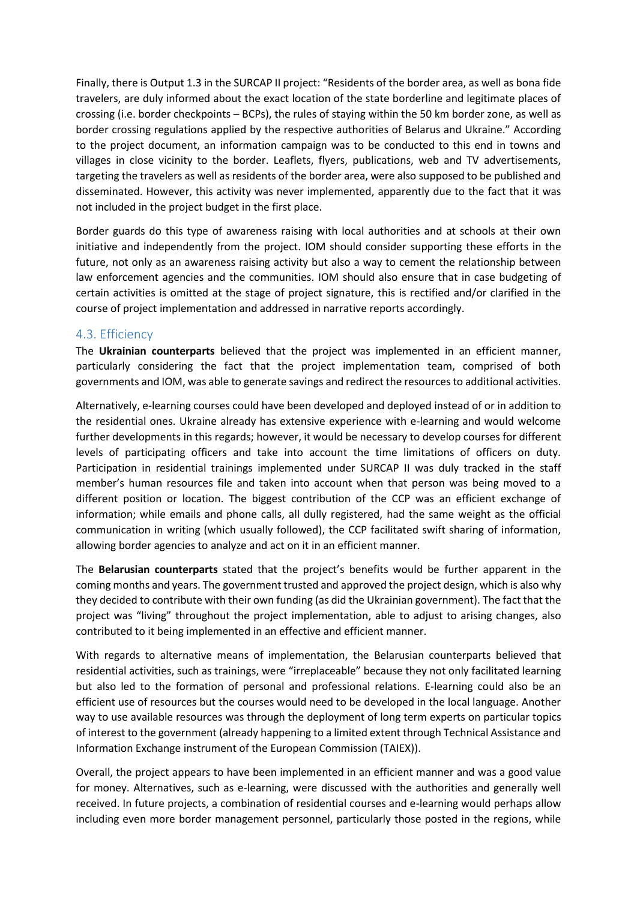Finally, there is Output 1.3 in the SURCAP II project: "Residents of the border area, as well as bona fide travelers, are duly informed about the exact location of the state borderline and legitimate places of crossing (i.e. border checkpoints – BCPs), the rules of staying within the 50 km border zone, as well as border crossing regulations applied by the respective authorities of Belarus and Ukraine." According to the project document, an information campaign was to be conducted to this end in towns and villages in close vicinity to the border. Leaflets, flyers, publications, web and TV advertisements, targeting the travelers as well as residents of the border area, were also supposed to be published and disseminated. However, this activity was never implemented, apparently due to the fact that it was not included in the project budget in the first place.

Border guards do this type of awareness raising with local authorities and at schools at their own initiative and independently from the project. IOM should consider supporting these efforts in the future, not only as an awareness raising activity but also a way to cement the relationship between law enforcement agencies and the communities. IOM should also ensure that in case budgeting of certain activities is omitted at the stage of project signature, this is rectified and/or clarified in the course of project implementation and addressed in narrative reports accordingly.

#### <span id="page-11-0"></span>4.3. Efficiency

The **Ukrainian counterparts** believed that the project was implemented in an efficient manner, particularly considering the fact that the project implementation team, comprised of both governments and IOM, was able to generate savings and redirect the resources to additional activities.

Alternatively, e-learning courses could have been developed and deployed instead of or in addition to the residential ones. Ukraine already has extensive experience with e-learning and would welcome further developments in this regards; however, it would be necessary to develop courses for different levels of participating officers and take into account the time limitations of officers on duty. Participation in residential trainings implemented under SURCAP II was duly tracked in the staff member's human resources file and taken into account when that person was being moved to a different position or location. The biggest contribution of the CCP was an efficient exchange of information; while emails and phone calls, all dully registered, had the same weight as the official communication in writing (which usually followed), the CCP facilitated swift sharing of information, allowing border agencies to analyze and act on it in an efficient manner.

The **Belarusian counterparts** stated that the project's benefits would be further apparent in the coming months and years. The government trusted and approved the project design, which is also why they decided to contribute with their own funding (as did the Ukrainian government). The fact that the project was "living" throughout the project implementation, able to adjust to arising changes, also contributed to it being implemented in an effective and efficient manner.

With regards to alternative means of implementation, the Belarusian counterparts believed that residential activities, such as trainings, were "irreplaceable" because they not only facilitated learning but also led to the formation of personal and professional relations. E-learning could also be an efficient use of resources but the courses would need to be developed in the local language. Another way to use available resources was through the deployment of long term experts on particular topics of interest to the government (already happening to a limited extent through Technical Assistance and Information Exchange instrument of the European Commission (TAIEX)).

Overall, the project appears to have been implemented in an efficient manner and was a good value for money. Alternatives, such as e-learning, were discussed with the authorities and generally well received. In future projects, a combination of residential courses and e-learning would perhaps allow including even more border management personnel, particularly those posted in the regions, while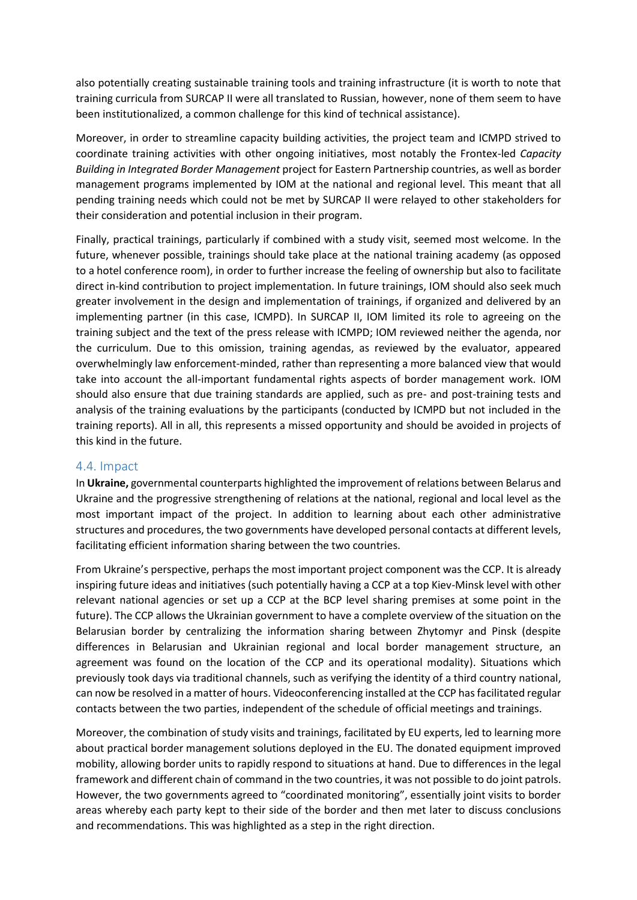also potentially creating sustainable training tools and training infrastructure (it is worth to note that training curricula from SURCAP II were all translated to Russian, however, none of them seem to have been institutionalized, a common challenge for this kind of technical assistance).

Moreover, in order to streamline capacity building activities, the project team and ICMPD strived to coordinate training activities with other ongoing initiatives, most notably the Frontex-led *Capacity Building in Integrated Border Management* project for Eastern Partnership countries, as well as border management programs implemented by IOM at the national and regional level. This meant that all pending training needs which could not be met by SURCAP II were relayed to other stakeholders for their consideration and potential inclusion in their program.

Finally, practical trainings, particularly if combined with a study visit, seemed most welcome. In the future, whenever possible, trainings should take place at the national training academy (as opposed to a hotel conference room), in order to further increase the feeling of ownership but also to facilitate direct in-kind contribution to project implementation. In future trainings, IOM should also seek much greater involvement in the design and implementation of trainings, if organized and delivered by an implementing partner (in this case, ICMPD). In SURCAP II, IOM limited its role to agreeing on the training subject and the text of the press release with ICMPD; IOM reviewed neither the agenda, nor the curriculum. Due to this omission, training agendas, as reviewed by the evaluator, appeared overwhelmingly law enforcement-minded, rather than representing a more balanced view that would take into account the all-important fundamental rights aspects of border management work. IOM should also ensure that due training standards are applied, such as pre- and post-training tests and analysis of the training evaluations by the participants (conducted by ICMPD but not included in the training reports). All in all, this represents a missed opportunity and should be avoided in projects of this kind in the future.

#### <span id="page-12-0"></span>4.4. Impact

In **Ukraine,** governmental counterparts highlighted the improvement of relations between Belarus and Ukraine and the progressive strengthening of relations at the national, regional and local level as the most important impact of the project. In addition to learning about each other administrative structures and procedures, the two governments have developed personal contacts at different levels, facilitating efficient information sharing between the two countries.

From Ukraine's perspective, perhaps the most important project component was the CCP. It is already inspiring future ideas and initiatives (such potentially having a CCP at a top Kiev-Minsk level with other relevant national agencies or set up a CCP at the BCP level sharing premises at some point in the future). The CCP allows the Ukrainian government to have a complete overview of the situation on the Belarusian border by centralizing the information sharing between Zhytomyr and Pinsk (despite differences in Belarusian and Ukrainian regional and local border management structure, an agreement was found on the location of the CCP and its operational modality). Situations which previously took days via traditional channels, such as verifying the identity of a third country national, can now be resolved in a matter of hours. Videoconferencing installed at the CCP has facilitated regular contacts between the two parties, independent of the schedule of official meetings and trainings.

Moreover, the combination of study visits and trainings, facilitated by EU experts, led to learning more about practical border management solutions deployed in the EU. The donated equipment improved mobility, allowing border units to rapidly respond to situations at hand. Due to differences in the legal framework and different chain of command in the two countries, it was not possible to do joint patrols. However, the two governments agreed to "coordinated monitoring", essentially joint visits to border areas whereby each party kept to their side of the border and then met later to discuss conclusions and recommendations. This was highlighted as a step in the right direction.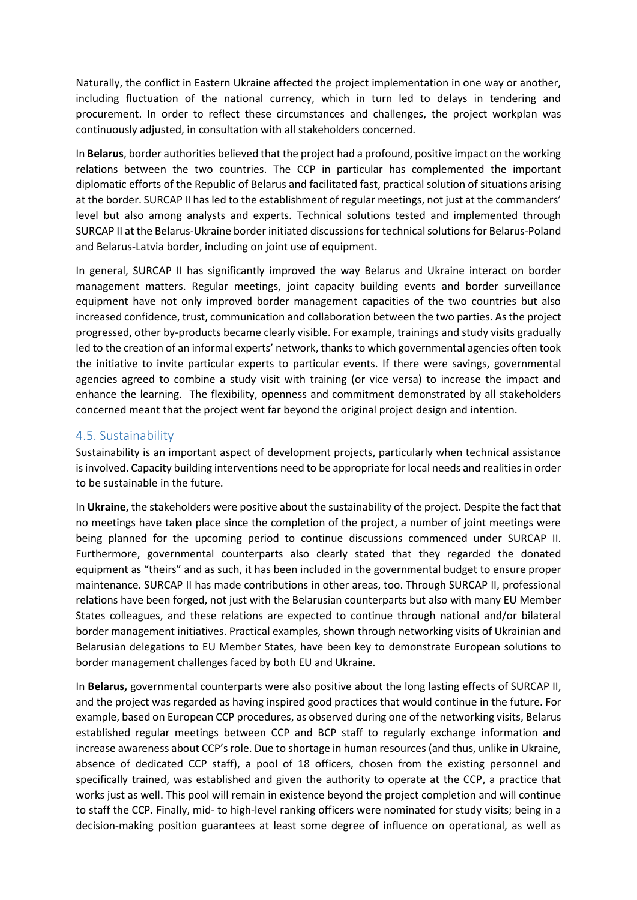Naturally, the conflict in Eastern Ukraine affected the project implementation in one way or another, including fluctuation of the national currency, which in turn led to delays in tendering and procurement. In order to reflect these circumstances and challenges, the project workplan was continuously adjusted, in consultation with all stakeholders concerned.

In **Belarus**, border authorities believed that the project had a profound, positive impact on the working relations between the two countries. The CCP in particular has complemented the important diplomatic efforts of the Republic of Belarus and facilitated fast, practical solution of situations arising at the border. SURCAP II has led to the establishment of regular meetings, not just at the commanders' level but also among analysts and experts. Technical solutions tested and implemented through SURCAP II at the Belarus-Ukraine border initiated discussions for technical solutions for Belarus-Poland and Belarus-Latvia border, including on joint use of equipment.

In general, SURCAP II has significantly improved the way Belarus and Ukraine interact on border management matters. Regular meetings, joint capacity building events and border surveillance equipment have not only improved border management capacities of the two countries but also increased confidence, trust, communication and collaboration between the two parties. As the project progressed, other by-products became clearly visible. For example, trainings and study visits gradually led to the creation of an informal experts' network, thanks to which governmental agencies often took the initiative to invite particular experts to particular events. If there were savings, governmental agencies agreed to combine a study visit with training (or vice versa) to increase the impact and enhance the learning. The flexibility, openness and commitment demonstrated by all stakeholders concerned meant that the project went far beyond the original project design and intention.

#### <span id="page-13-0"></span>4.5. Sustainability

Sustainability is an important aspect of development projects, particularly when technical assistance is involved. Capacity building interventions need to be appropriate for local needs and realities in order to be sustainable in the future.

In **Ukraine,** the stakeholders were positive about the sustainability of the project. Despite the fact that no meetings have taken place since the completion of the project, a number of joint meetings were being planned for the upcoming period to continue discussions commenced under SURCAP II. Furthermore, governmental counterparts also clearly stated that they regarded the donated equipment as "theirs" and as such, it has been included in the governmental budget to ensure proper maintenance. SURCAP II has made contributions in other areas, too. Through SURCAP II, professional relations have been forged, not just with the Belarusian counterparts but also with many EU Member States colleagues, and these relations are expected to continue through national and/or bilateral border management initiatives. Practical examples, shown through networking visits of Ukrainian and Belarusian delegations to EU Member States, have been key to demonstrate European solutions to border management challenges faced by both EU and Ukraine.

In **Belarus,** governmental counterparts were also positive about the long lasting effects of SURCAP II, and the project was regarded as having inspired good practices that would continue in the future. For example, based on European CCP procedures, as observed during one of the networking visits, Belarus established regular meetings between CCP and BCP staff to regularly exchange information and increase awareness about CCP's role. Due to shortage in human resources (and thus, unlike in Ukraine, absence of dedicated CCP staff), a pool of 18 officers, chosen from the existing personnel and specifically trained, was established and given the authority to operate at the CCP, a practice that works just as well. This pool will remain in existence beyond the project completion and will continue to staff the CCP. Finally, mid- to high-level ranking officers were nominated for study visits; being in a decision-making position guarantees at least some degree of influence on operational, as well as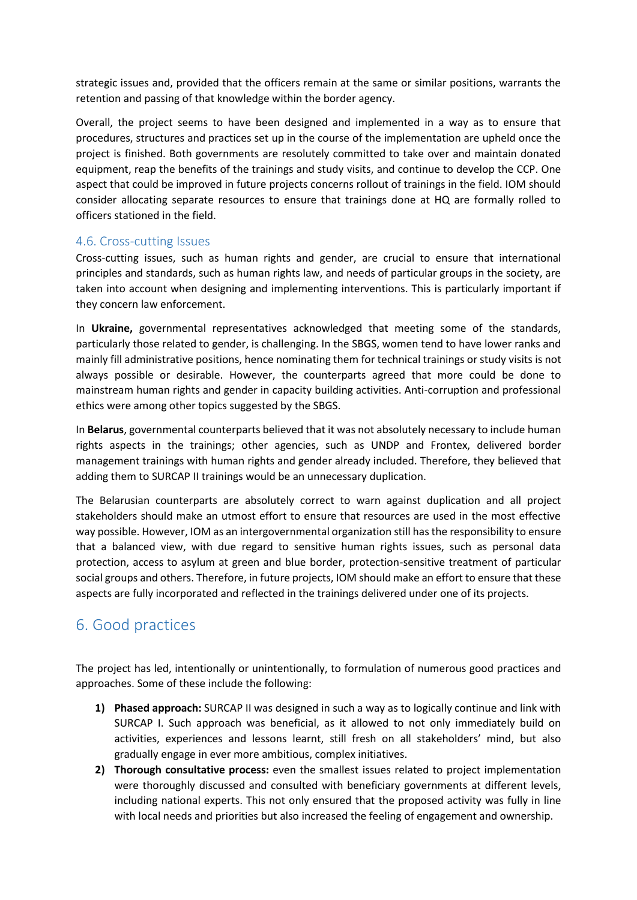strategic issues and, provided that the officers remain at the same or similar positions, warrants the retention and passing of that knowledge within the border agency.

Overall, the project seems to have been designed and implemented in a way as to ensure that procedures, structures and practices set up in the course of the implementation are upheld once the project is finished. Both governments are resolutely committed to take over and maintain donated equipment, reap the benefits of the trainings and study visits, and continue to develop the CCP. One aspect that could be improved in future projects concerns rollout of trainings in the field. IOM should consider allocating separate resources to ensure that trainings done at HQ are formally rolled to officers stationed in the field.

#### <span id="page-14-0"></span>4.6. Cross-cutting Issues

Cross-cutting issues, such as human rights and gender, are crucial to ensure that international principles and standards, such as human rights law, and needs of particular groups in the society, are taken into account when designing and implementing interventions. This is particularly important if they concern law enforcement.

In **Ukraine,** governmental representatives acknowledged that meeting some of the standards, particularly those related to gender, is challenging. In the SBGS, women tend to have lower ranks and mainly fill administrative positions, hence nominating them for technical trainings or study visits is not always possible or desirable. However, the counterparts agreed that more could be done to mainstream human rights and gender in capacity building activities. Anti-corruption and professional ethics were among other topics suggested by the SBGS.

In **Belarus**, governmental counterparts believed that it was not absolutely necessary to include human rights aspects in the trainings; other agencies, such as UNDP and Frontex, delivered border management trainings with human rights and gender already included. Therefore, they believed that adding them to SURCAP II trainings would be an unnecessary duplication.

The Belarusian counterparts are absolutely correct to warn against duplication and all project stakeholders should make an utmost effort to ensure that resources are used in the most effective way possible. However, IOM as an intergovernmental organization still has the responsibility to ensure that a balanced view, with due regard to sensitive human rights issues, such as personal data protection, access to asylum at green and blue border, protection-sensitive treatment of particular social groups and others. Therefore, in future projects, IOM should make an effort to ensure that these aspects are fully incorporated and reflected in the trainings delivered under one of its projects.

### <span id="page-14-1"></span>6. Good practices

The project has led, intentionally or unintentionally, to formulation of numerous good practices and approaches. Some of these include the following:

- **1) Phased approach:** SURCAP II was designed in such a way as to logically continue and link with SURCAP I. Such approach was beneficial, as it allowed to not only immediately build on activities, experiences and lessons learnt, still fresh on all stakeholders' mind, but also gradually engage in ever more ambitious, complex initiatives.
- **2) Thorough consultative process:** even the smallest issues related to project implementation were thoroughly discussed and consulted with beneficiary governments at different levels, including national experts. This not only ensured that the proposed activity was fully in line with local needs and priorities but also increased the feeling of engagement and ownership.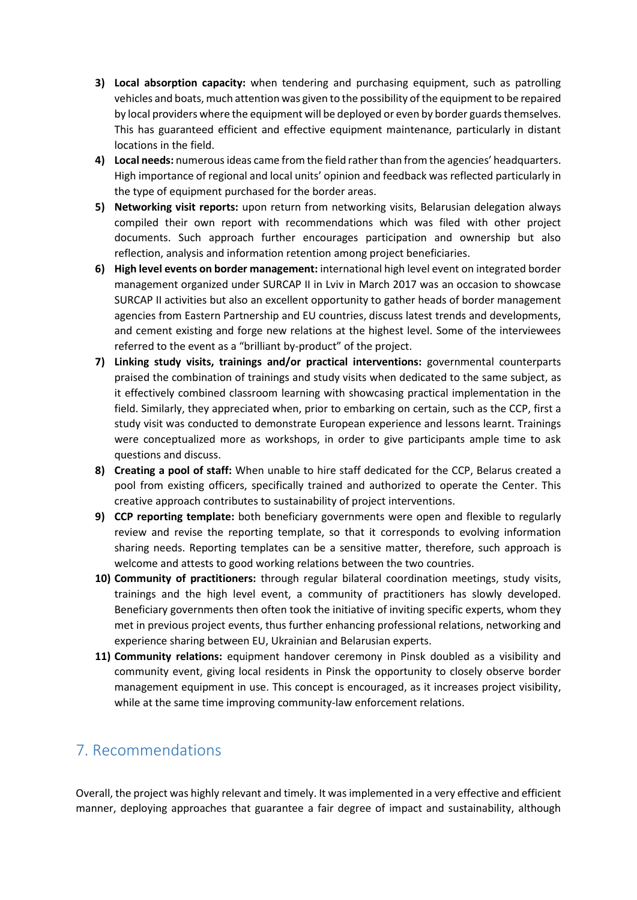- **3) Local absorption capacity:** when tendering and purchasing equipment, such as patrolling vehicles and boats, much attention was given to the possibility of the equipment to be repaired by local providers where the equipment will be deployed or even by border guards themselves. This has guaranteed efficient and effective equipment maintenance, particularly in distant locations in the field.
- **4) Local needs:** numerous ideas came from the field rather than from the agencies' headquarters. High importance of regional and local units' opinion and feedback was reflected particularly in the type of equipment purchased for the border areas.
- **5) Networking visit reports:** upon return from networking visits, Belarusian delegation always compiled their own report with recommendations which was filed with other project documents. Such approach further encourages participation and ownership but also reflection, analysis and information retention among project beneficiaries.
- **6) High level events on border management:** international high level event on integrated border management organized under SURCAP II in Lviv in March 2017 was an occasion to showcase SURCAP II activities but also an excellent opportunity to gather heads of border management agencies from Eastern Partnership and EU countries, discuss latest trends and developments, and cement existing and forge new relations at the highest level. Some of the interviewees referred to the event as a "brilliant by-product" of the project.
- **7) Linking study visits, trainings and/or practical interventions:** governmental counterparts praised the combination of trainings and study visits when dedicated to the same subject, as it effectively combined classroom learning with showcasing practical implementation in the field. Similarly, they appreciated when, prior to embarking on certain, such as the CCP, first a study visit was conducted to demonstrate European experience and lessons learnt. Trainings were conceptualized more as workshops, in order to give participants ample time to ask questions and discuss.
- **8) Creating a pool of staff:** When unable to hire staff dedicated for the CCP, Belarus created a pool from existing officers, specifically trained and authorized to operate the Center. This creative approach contributes to sustainability of project interventions.
- **9) CCP reporting template:** both beneficiary governments were open and flexible to regularly review and revise the reporting template, so that it corresponds to evolving information sharing needs. Reporting templates can be a sensitive matter, therefore, such approach is welcome and attests to good working relations between the two countries.
- **10) Community of practitioners:** through regular bilateral coordination meetings, study visits, trainings and the high level event, a community of practitioners has slowly developed. Beneficiary governments then often took the initiative of inviting specific experts, whom they met in previous project events, thus further enhancing professional relations, networking and experience sharing between EU, Ukrainian and Belarusian experts.
- **11) Community relations:** equipment handover ceremony in Pinsk doubled as a visibility and community event, giving local residents in Pinsk the opportunity to closely observe border management equipment in use. This concept is encouraged, as it increases project visibility, while at the same time improving community-law enforcement relations.

### <span id="page-15-0"></span>7. Recommendations

Overall, the project was highly relevant and timely. It was implemented in a very effective and efficient manner, deploying approaches that guarantee a fair degree of impact and sustainability, although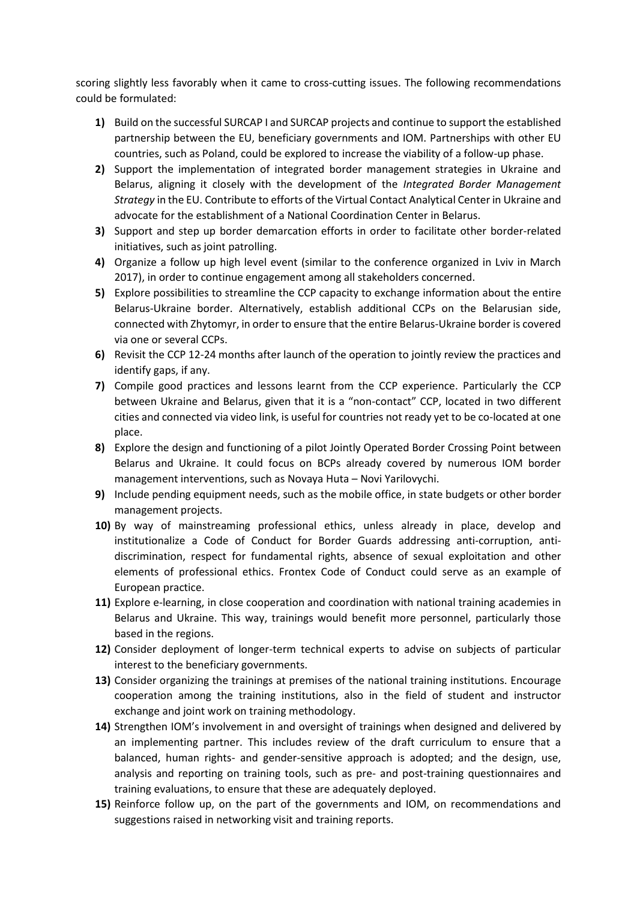scoring slightly less favorably when it came to cross-cutting issues. The following recommendations could be formulated:

- **1)** Build on the successful SURCAP I and SURCAP projects and continue to support the established partnership between the EU, beneficiary governments and IOM. Partnerships with other EU countries, such as Poland, could be explored to increase the viability of a follow-up phase.
- **2)** Support the implementation of integrated border management strategies in Ukraine and Belarus, aligning it closely with the development of the *Integrated Border Management Strategy* in the EU. Contribute to efforts of the Virtual Contact Analytical Center in Ukraine and advocate for the establishment of a National Coordination Center in Belarus.
- **3)** Support and step up border demarcation efforts in order to facilitate other border-related initiatives, such as joint patrolling.
- **4)** Organize a follow up high level event (similar to the conference organized in Lviv in March 2017), in order to continue engagement among all stakeholders concerned.
- **5)** Explore possibilities to streamline the CCP capacity to exchange information about the entire Belarus-Ukraine border. Alternatively, establish additional CCPs on the Belarusian side, connected with Zhytomyr, in order to ensure that the entire Belarus-Ukraine border is covered via one or several CCPs.
- **6)** Revisit the CCP 12-24 months after launch of the operation to jointly review the practices and identify gaps, if any.
- **7)** Compile good practices and lessons learnt from the CCP experience. Particularly the CCP between Ukraine and Belarus, given that it is a "non-contact" CCP, located in two different cities and connected via video link, is useful for countries not ready yet to be co-located at one place.
- **8)** Explore the design and functioning of a pilot Jointly Operated Border Crossing Point between Belarus and Ukraine. It could focus on BCPs already covered by numerous IOM border management interventions, such as Novaya Huta – Novi Yarilovychi.
- **9)** Include pending equipment needs, such as the mobile office, in state budgets or other border management projects.
- **10)** By way of mainstreaming professional ethics, unless already in place, develop and institutionalize a Code of Conduct for Border Guards addressing anti-corruption, antidiscrimination, respect for fundamental rights, absence of sexual exploitation and other elements of professional ethics. Frontex Code of Conduct could serve as an example of European practice.
- **11)** Explore e-learning, in close cooperation and coordination with national training academies in Belarus and Ukraine. This way, trainings would benefit more personnel, particularly those based in the regions.
- **12)** Consider deployment of longer-term technical experts to advise on subjects of particular interest to the beneficiary governments.
- **13)** Consider organizing the trainings at premises of the national training institutions. Encourage cooperation among the training institutions, also in the field of student and instructor exchange and joint work on training methodology.
- **14)** Strengthen IOM's involvement in and oversight of trainings when designed and delivered by an implementing partner. This includes review of the draft curriculum to ensure that a balanced, human rights- and gender-sensitive approach is adopted; and the design, use, analysis and reporting on training tools, such as pre- and post-training questionnaires and training evaluations, to ensure that these are adequately deployed.
- **15)** Reinforce follow up, on the part of the governments and IOM, on recommendations and suggestions raised in networking visit and training reports.